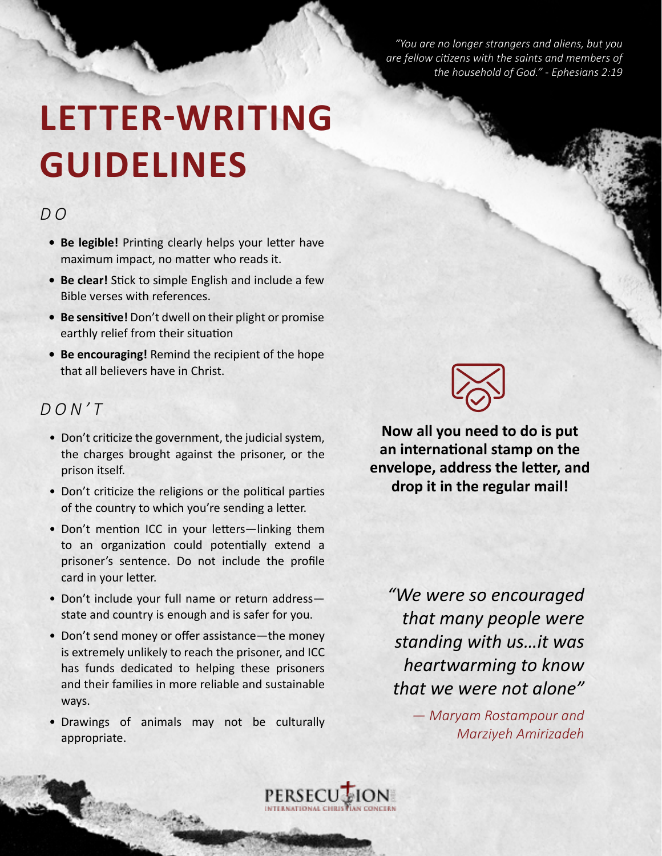*"You are no longer strangers and aliens, but you are fellow citizens with the saints and members of the household of God." - Ephesians 2:19*

# **LETTER-WRITING GUIDELINES**

# $DQ$

- **• Be legible!** Printing clearly helps your letter have maximum impact, no matter who reads it.
- **• Be clear!** Stick to simple English and include a few Bible verses with references.
- **• Be sensitive!** Don't dwell on their plight or promise earthly relief from their situation
- **• Be encouraging!** Remind the recipient of the hope that all believers have in Christ.

# *DON'T*

- Don't criticize the government, the judicial system, the charges brought against the prisoner, or the prison itself.
- Don't criticize the religions or the political parties of the country to which you're sending a letter.
- Don't mention ICC in your letters—linking them to an organization could potentially extend a prisoner's sentence. Do not include the profile card in your letter.
- Don't include your full name or return address state and country is enough and is safer for you.
- Don't send money or offer assistance—the money is extremely unlikely to reach the prisoner, and ICC has funds dedicated to helping these prisoners and their families in more reliable and sustainable ways.
- Drawings of animals may not be culturally appropriate.

**Now all you need to do is put an international stamp on the envelope, address the letter, and drop it in the regular mail!**

*"We were so encouraged that many people were standing with us…it was heartwarming to know that we were not alone"*

> *— Maryam Rostampour and Marziyeh Amirizadeh*